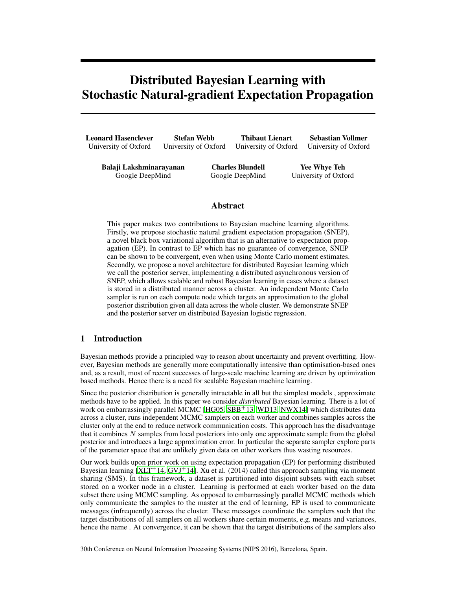# Distributed Bayesian Learning with Stochastic Natural-gradient Expectation Propagation

| <b>Leonard Hasenclever</b> | <b>Stefan Webb</b>   | <b>Thibaut Lienart</b> | <b>Sebastian Vollmer</b>                  |
|----------------------------|----------------------|------------------------|-------------------------------------------|
| University of Oxford       | University of Oxford |                        | University of Oxford University of Oxford |
|                            |                      |                        |                                           |
|                            |                      |                        |                                           |

Balaji Lakshminarayanan Google DeepMind

Charles Blundell Google DeepMind

Yee Whye Teh University of Oxford

# Abstract

This paper makes two contributions to Bayesian machine learning algorithms. Firstly, we propose stochastic natural gradient expectation propagation (SNEP), a novel black box variational algorithm that is an alternative to expectation propagation (EP). In contrast to EP which has no guarantee of convergence, SNEP can be shown to be convergent, even when using Monte Carlo moment estimates. Secondly, we propose a novel architecture for distributed Bayesian learning which we call the posterior server, implementing a distributed asynchronous version of SNEP, which allows scalable and robust Bayesian learning in cases where a dataset is stored in a distributed manner across a cluster. An independent Monte Carlo sampler is run on each compute node which targets an approximation to the global posterior distribution given all data across the whole cluster. We demonstrate SNEP and the posterior server on distributed Bayesian logistic regression.

# 1 Introduction

Bayesian methods provide a principled way to reason about uncertainty and prevent overfitting. However, Bayesian methods are generally more computationally intensive than optimisation-based ones and, as a result, most of recent successes of large-scale machine learning are driven by optimization based methods. Hence there is a need for scalable Bayesian machine learning.

Since the posterior distribution is generally intractable in all but the simplest models , approximate methods have to be applied. In this paper we consider *distributed* Bayesian learning. There is a lot of work on embarrassingly parallel MCMC [\[HG05,](#page-4-0) [SBB](#page-4-1)<sup>+</sup>13, [WD13,](#page-4-2) [NWX14\]](#page-4-3) which distributes data across a cluster, runs independent MCMC samplers on each worker and combines samples across the cluster only at the end to reduce network communication costs. This approach has the disadvantage that it combines  $N$  samples from local posteriors into only one approximate sample from the global posterior and introduces a large approximation error. In particular the separate sampler explore parts of the parameter space that are unlikely given data on other workers thus wasting resources.

Our work builds upon prior work on using expectation propagation (EP) for performing distributed Bayesian learning  $[XLT<sup>+</sup>14, GVI<sup>+</sup>14]$  $[XLT<sup>+</sup>14, GVI<sup>+</sup>14]$ . Xu et al. (2014) called this approach sampling via moment sharing (SMS). In this framework, a dataset is partitioned into disjoint subsets with each subset stored on a worker node in a cluster. Learning is performed at each worker based on the data subset there using MCMC sampling. As opposed to embarrassingly parallel MCMC methods which only communicate the samples to the master at the end of learning, EP is used to communicate messages (infrequently) across the cluster. These messages coordinate the samplers such that the target distributions of all samplers on all workers share certain moments, e.g. means and variances, hence the name . At convergence, it can be shown that the target distributions of the samplers also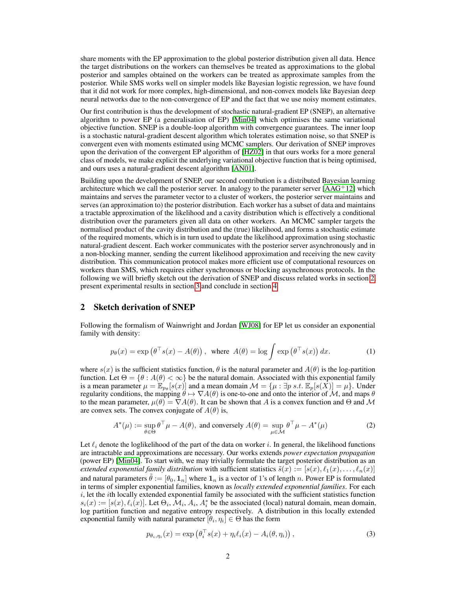share moments with the EP approximation to the global posterior distribution given all data. Hence the target distributions on the workers can themselves be treated as approximations to the global posterior and samples obtained on the workers can be treated as approximate samples from the posterior. While SMS works well on simpler models like Bayesian logistic regression, we have found that it did not work for more complex, high-dimensional, and non-convex models like Bayesian deep neural networks due to the non-convergence of EP and the fact that we use noisy moment estimates.

Our first contribution is thus the development of stochastic natural-gradient EP (SNEP), an alternative algorithm to power EP (a generalisation of EP) [\[Min04\]](#page-4-5) which optimises the same variational objective function. SNEP is a double-loop algorithm with convergence guarantees. The inner loop is a stochastic natural-gradient descent algorithm which tolerates estimation noise, so that SNEP is convergent even with moments estimated using MCMC samplers. Our derivation of SNEP improves upon the derivation of the convergent EP algorithm of [\[HZ02\]](#page-4-6) in that ours works for a more general class of models, we make explicit the underlying variational objective function that is being optimised, and ours uses a natural-gradient descent algorithm [\[AN01\]](#page-4-7).

Building upon the development of SNEP, our second contribution is a distributed Bayesian learning architecture which we call the posterior server. In analogy to the parameter server  $[AAG^+12]$  $[AAG^+12]$  which maintains and serves the parameter vector to a cluster of workers, the posterior server maintains and serves (an approximation to) the posterior distribution. Each worker has a subset of data and maintains a tractable approximation of the likelihood and a cavity distribution which is effectively a conditional distribution over the parameters given all data on other workers. An MCMC sampler targets the normalised product of the cavity distribution and the (true) likelihood, and forms a stochastic estimate of the required moments, which is in turn used to update the likelihood approximation using stochastic natural-gradient descent. Each worker communicates with the posterior server asynchronously and in a non-blocking manner, sending the current likelihood approximation and receiving the new cavity distribution. This communication protocol makes more efficient use of computational resources on workers than SMS, which requires either synchronous or blocking asynchronous protocols. In the following we will briefly sketch out the derivation of SNEP and discuss related works in section [2,](#page-1-0) present experimental results in section [3](#page-2-0) and conclude in section [4.](#page-3-0)

# <span id="page-1-0"></span>2 Sketch derivation of SNEP

Following the formalism of Wainwright and Jordan [\[WJ08\]](#page-5-1) for EP let us consider an exponential family with density:

$$
p_{\theta}(x) = \exp\left(\theta^{\top} s(x) - A(\theta)\right), \text{ where } A(\theta) = \log \int \exp\left(\theta^{\top} s(x)\right) dx. \tag{1}
$$

where  $s(x)$  is the sufficient statistics function,  $\theta$  is the natural parameter and  $A(\theta)$  is the log-partition function. Let  $\Theta = \{ \theta : A(\theta) < \infty \}$  be the natural domain. Associated with this exponential family is a mean parameter  $\mu = \mathbb{E}_{p_{\theta}}[s(x)]$  and a mean domain  $\mathcal{M} = \{\mu : \exists p \ s.t. \ \mathbb{E}_p[s(X)] = \mu\}$ . Under regularity conditions, the mapping  $\hat{\theta} \mapsto \nabla A(\theta)$  is one-to-one and onto the interior of M, and maps  $\theta$ to the mean parameter,  $\mu(\theta) = \nabla A(\theta)$ . It can be shown that A is a convex function and  $\Theta$  and M are convex sets. The convex conjugate of  $A(\theta)$  is,

$$
A^*(\mu) := \sup_{\theta \in \Theta} \theta^{\top} \mu - A(\theta), \text{ and conversely } A(\theta) = \sup_{\mu \in \mathcal{M}} \theta^{\top} \mu - A^*(\mu) \tag{2}
$$

Let  $\ell_i$  denote the loglikelihood of the part of the data on worker i. In general, the likelihood functions are intractable and approximations are necessary. Our works extends *power expectation propagation* (power EP) [\[Min04\]](#page-4-5). To start with, we may trivially formulate the target posterior distribution as an *extended exponential family distribution* with sufficient statistics  $\tilde{s}(x) := [s(x), \ell_1(x), \ldots, \ell_n(x)]$ and natural parameters  $\hat{\theta} := [\theta_0, \mathbf{1}_n]$  where  $\mathbf{1}_n$  is a vector of 1's of length n. Power EP is formulated in terms of simpler exponential families, known as *locally extended exponential families*. For each i, let the *i*th locally extended exponential family be associated with the sufficient statistics function  $s_i(x) := [s(x), \ell_i(x)]$ . Let  $\Theta_i$ ,  $\mathcal{M}_i$ ,  $A_i$ ,  $A_i^*$  be the associated (local) natural domain, mean domain, log partition function and negative entropy respectively. A distribution in this locally extended exponential family with natural parameter  $[\theta_i, \eta_i] \in \Theta$  has the form

$$
p_{\theta_i, \eta_i}(x) = \exp\left(\theta_i^{\top} s(x) + \eta_i \ell_i(x) - A_i(\theta, \eta_i)\right),\tag{3}
$$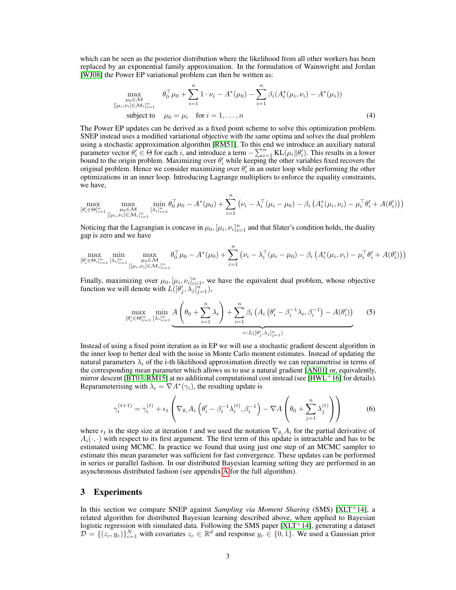which can be seen as the posterior distribution where the likelihood from all other workers has been replaced by an exponential family approximation. In the formulation of Wainwright and Jordan [\[WJ08\]](#page-5-1) the Power EP variational problem can then be written as:

$$
\max_{\substack{\mu_0 \in \mathcal{M} \\ [[\mu_i, \nu_i] \in \mathcal{M}_i]_{i=1}^n}} \theta_0^{\top} \mu_0 + \sum_{i=1}^n 1 \cdot \nu_i - A^*(\mu_0) - \sum_{i=1}^n \beta_i (A_i^*(\mu_i, \nu_i) - A^*(\mu_i))
$$
\nsubject to  $\mu_0 = \mu_i$  for  $i = 1, ..., n$  (4)

The Power EP updates can be derived as a fixed point scheme to solve this optimization problem. SNEP instead uses a modified variational objective with the same optima and solves the dual problem using a stochastic approximation algorithm [\[RM51\]](#page-4-9). To this end we introduce an auxiliary natural parameter vector  $\theta_i' \in \Theta$  for each i, and introduce a term  $-\sum_{i=1}^n \text{KL}(\mu_i || \theta_i')$ . This results in a lower bound to the origin problem. Maximizing over  $\theta_i'$  while keeping the other variables fixed recovers the original problem. Hence we consider maximizing over  $\theta_i$  in an outer loop while performing the other optimizations in an inner loop. Introducing Lagrange multipliers to enforce the equality constraints, we have,

$$
\max_{\substack{\theta_i' \in \Theta_{i=1}^n \ \mu_0 \in \mathcal{M} \\ [\mu_i, \nu_i] \in \mathcal{M}_i]_{i=1}^n}} \min_{\substack{\lambda_i \}_{i=1}^n} \theta_0^\top \mu_0 - A^*(\mu_0) + \sum_{i=1}^n (\nu_i - \lambda_i^\top (\mu_i - \mu_0) - \beta_i (A_i^*(\mu_i, \nu_i) - \mu_i^\top \theta_i' + A(\theta_i'))
$$

Noticing that the Lagrangian is concave in  $\mu_0$ ,  $[\mu_i, \nu_i]_{i=1}^n$  and that Slater's condition holds, the duality gap is zero and we have

$$
\max_{\substack{\lbrack \theta_i' \in \Theta_i \rbrack_{i=1}^n \; [\lambda_i]_{i=1}^n} \; \max_{\substack{\mu_0 \in \mathcal{M} \\ [\mu_i, \nu_i] \in \mathcal{M}_i \rbrack_{i=1}^n}} \theta_0^{\top} \mu_0 - A^*(\mu_0) + \sum_{i=1}^n \left( \nu_i - \lambda_i^{\top}(\mu_i - \mu_0) - \beta_i \left( A_i^*(\mu_i, \nu_i) - \mu_i^{\top} \theta_i' + A(\theta_i') \right) \right)
$$

Finally, maximizing over  $\mu_0$ ,  $[\mu_i, \nu_i]_{i=1}^n$ , we have the equivalent dual problem, whose objective function we will denote with  $L([\theta'_j, \lambda_j]_{j=1}^n)$ ,

$$
\max_{\left[\theta_i' \in \Theta\right]_{i=1}^n} \min_{\left[\lambda_i\right]_{i=1}^n} A\left(\theta_0 + \sum_{i=1}^n \lambda_i\right) + \sum_{i=1}^n \beta_i \left(A_i \left(\theta_i' - \beta_i^{-1} \lambda_i, \beta_i^{-1}\right) - A(\theta_i')\right) \tag{5}
$$
\n
$$
=: L\left(\left[\theta_i', \lambda_j\right]_{j=1}^n\right)
$$

Instead of using a fixed point iteration as in EP we will use a stochastic gradient descent algorithm in the inner loop to better deal with the noise in Monte Carlo moment estimates. Instead of updating the natural parameters  $\lambda_i$  of the i-th likelihood approximation directly we can reparametrise in terms of the corresponding mean parameter which allows us to use a natural gradient [\[AN01\]](#page-4-7) or, equivalently, mirror descent [\[BT03,](#page-4-10) [RM15\]](#page-4-11) at no additional computational cost instead (see [\[HWL](#page-4-12)+16] for details). Reparameterising with  $\lambda_i = \nabla A^*(\gamma_i)$ , the resulting update is

$$
\gamma_i^{(t+1)} = \gamma_i^{(t)} + \epsilon_t \left( \nabla_{\theta_i} A_i \left( \theta_i' - \beta_i^{-1} \lambda_i^{(t)}, \beta_i^{-1} \right) - \nabla A \left( \theta_0 + \sum_{j=1}^n \lambda_j^{(t)} \right) \right)
$$
(6)

where  $\epsilon_t$  is the step size at iteration t and we used the notation  $\nabla_{\theta_i} A_i$  for the partial derivative of  $A_i(\cdot, \cdot)$  with respect to its first argument. The first term of this update is intractable and has to be estimated using MCMC. In practice we found that using just one step of an MCMC sampler to estimate this mean parameter was sufficient for fast convergence. These updates can be performed in series or parallel fashion. In our distributed Bayesian learning setting they are performed in an asynchronous distributed fashion (see appendix [A](#page-5-2) for the full algorithm).

## <span id="page-2-0"></span>3 Experiments

In this section we compare SNEP against *Sampling via Moment Sharing* (SMS) [\[XLT](#page-5-0)<sup>+</sup>14], a related algorithm for distributed Bayesian learning described above, when applied to Bayesian logistic regression with simulated data. Following the SMS paper [\[XLT](#page-5-0)+14], generating a dataset  $\mathcal{D} = \{(z_c, y_c)\}_{c=1}^N$  with covariates  $z_c \in \mathbb{R}^d$  and response  $y_c \in \{0, 1\}$ . We used a Gaussian prior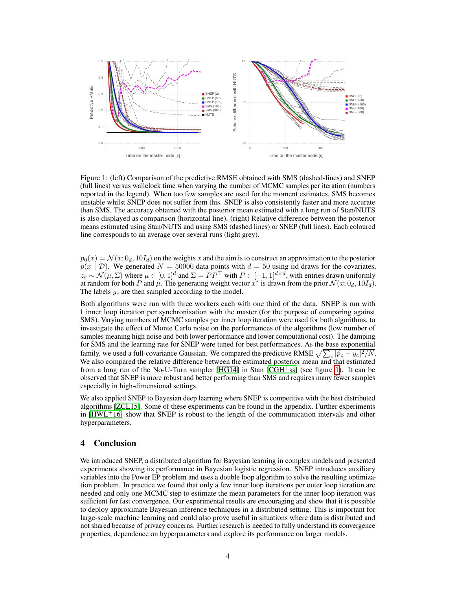

<span id="page-3-1"></span>Figure 1: (left) Comparison of the predictive RMSE obtained with SMS (dashed-lines) and SNEP (full lines) versus wallclock time when varying the number of MCMC samples per iteration (numbers reported in the legend). When too few samples are used for the moment estimates, SMS becomes unstable whilst SNEP does not suffer from this. SNEP is also consistently faster and more accurate than SMS. The accuracy obtained with the posterior mean estimated with a long run of Stan/NUTS is also displayed as comparison (horizontal line). (right) Relative difference between the posterior means estimated using Stan/NUTS and using SMS (dashed lines) or SNEP (full lines). Each coloured line corresponds to an average over several runs (light grey).

 $p_0(x) = \mathcal{N}(x; 0_d, 10I_d)$  on the weights x and the aim is to construct an approximation to the posterior  $p(x | D)$ . We generated  $N = 50000$  data points with  $d = 50$  using iid draws for the covariates,<br>  $z_c \sim \mathcal{N}(\mu, \Sigma)$  where  $\mu \in [0, 1]^d$  and  $\Sigma = PP^{\top}$  with  $P \in [-1, 1]^{d \times d}$ , with entries drawn uniformly<br>
at random for both The labels  $y_c$  are then sampled according to the model.

Both algorithms were run with three workers each with one third of the data. SNEP is run with 1 inner loop iteration per synchronisation with the master (for the purpose of comparing against SMS). Varying numbers of MCMC samples per inner loop iteration were used for both algorithms, to investigate the effect of Monte Carlo noise on the performances of the algorithms (low number of samples meaning high noise and both lower performance and lower computational cost). The damping for SMS and the learning rate for SNEP were tuned for best performances. As the base exponential family, we used a full-covariance Gaussian. We compared the predictive RMSE  $\sqrt{\sum_{c} |\hat{p}_c - y_c|^2/N}$ . We also compared the relative difference between the estimated posterior mean and that estimated from a long run of the No-U-Turn sampler [HG14] in Stan [CGH+ss] (see figure 1). It can be observed that SNEP is more robust and better performing than SMS and requires many fewer samples especially in high-dimensional settings.

We also applied SNEP to Bayesian deep learning where SNEP is competitive with the best distributed algorithms [ZCL15]. Some of these experiments can be found in the appendix. Further experiments in  $[HWL+16]$  show that SNEP is robust to the length of the communication intervals and other hyperparameters.

#### <span id="page-3-0"></span>Conclusion 4

We introduced SNEP, a distributed algorithm for Bayesian learning in complex models and presented experiments showing its performance in Bayesian logistic regression. SNEP introduces auxiliary variables into the Power EP problem and uses a double loop algorithm to solve the resulting optimization problem. In practice we found that only a few inner loop iterations per outer loop iteration are needed and only one MCMC step to estimate the mean parameters for the inner loop iteration was sufficient for fast convergence. Our experimental results are encouraging and show that it is possible to deploy approximate Bayesian inference techniques in a distributed setting. This is important for large-scale machine learning and could also prove useful in situations where data is distributed and not shared because of privacy concerns. Further research is needed to fully understand its convergence properties, dependence on hyperparameters and explore its performance on larger models.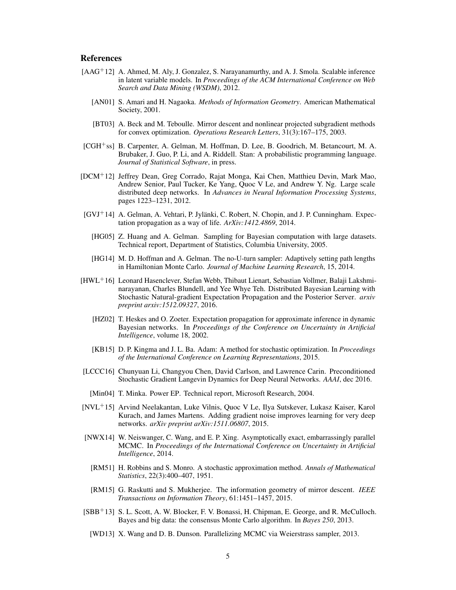## **References**

- <span id="page-4-8"></span><span id="page-4-7"></span>[AAG+12] A. Ahmed, M. Aly, J. Gonzalez, S. Narayanamurthy, and A. J. Smola. Scalable inference in latent variable models. In *Proceedings of the ACM International Conference on Web Search and Data Mining (WSDM)*, 2012.
	- [AN01] S. Amari and H. Nagaoka. *Methods of Information Geometry*. American Mathematical Society, 2001.
	- [BT03] A. Beck and M. Teboulle. Mirror descent and nonlinear projected subgradient methods for convex optimization. *Operations Research Letters*, 31(3):167–175, 2003.
- <span id="page-4-14"></span><span id="page-4-10"></span>[CGH+ss] B. Carpenter, A. Gelman, M. Hoffman, D. Lee, B. Goodrich, M. Betancourt, M. A. Brubaker, J. Guo, P. Li, and A. Riddell. Stan: A probabilistic programming language. *Journal of Statistical Software*, in press.
- <span id="page-4-16"></span>[DCM+12] Jeffrey Dean, Greg Corrado, Rajat Monga, Kai Chen, Matthieu Devin, Mark Mao, Andrew Senior, Paul Tucker, Ke Yang, Quoc V Le, and Andrew Y. Ng. Large scale distributed deep networks. In *Advances in Neural Information Processing Systems*, pages 1223–1231, 2012.
- <span id="page-4-4"></span><span id="page-4-0"></span>[GVJ<sup>+</sup>14] A. Gelman, A. Vehtari, P. Jylänki, C. Robert, N. Chopin, and J. P. Cunningham. Expectation propagation as a way of life. *ArXiv:1412.4869*, 2014.
	- [HG05] Z. Huang and A. Gelman. Sampling for Bayesian computation with large datasets. Technical report, Department of Statistics, Columbia University, 2005.
	- [HG14] M. D. Hoffman and A. Gelman. The no-U-turn sampler: Adaptively setting path lengths in Hamiltonian Monte Carlo. *Journal of Machine Learning Research*, 15, 2014.
- <span id="page-4-13"></span><span id="page-4-12"></span><span id="page-4-6"></span>[HWL<sup>+</sup>16] Leonard Hasenclever, Stefan Webb, Thibaut Lienart, Sebastian Vollmer, Balaji Lakshminarayanan, Charles Blundell, and Yee Whye Teh. Distributed Bayesian Learning with Stochastic Natural-gradient Expectation Propagation and the Posterior Server. *arxiv preprint arxiv:1512.09327*, 2016.
	- [HZ02] T. Heskes and O. Zoeter. Expectation propagation for approximate inference in dynamic Bayesian networks. In *Proceedings of the Conference on Uncertainty in Artificial Intelligence*, volume 18, 2002.
	- [KB15] D. P. Kingma and J. L. Ba. Adam: A method for stochastic optimization. In *Proceedings of the International Conference on Learning Representations*, 2015.
- <span id="page-4-17"></span><span id="page-4-15"></span>[LCCC16] Chunyuan Li, Changyou Chen, David Carlson, and Lawrence Carin. Preconditioned Stochastic Gradient Langevin Dynamics for Deep Neural Networks. *AAAI*, dec 2016.
	- [Min04] T. Minka. Power EP. Technical report, Microsoft Research, 2004.
- <span id="page-4-18"></span><span id="page-4-5"></span>[NVL<sup>+</sup>15] Arvind Neelakantan, Luke Vilnis, Quoc V Le, Ilya Sutskever, Lukasz Kaiser, Karol Kurach, and James Martens. Adding gradient noise improves learning for very deep networks. *arXiv preprint arXiv:1511.06807*, 2015.
- <span id="page-4-3"></span>[NWX14] W. Neiswanger, C. Wang, and E. P. Xing. Asymptotically exact, embarrassingly parallel MCMC. In *Proceedings of the International Conference on Uncertainty in Artificial Intelligence*, 2014.
	- [RM51] H. Robbins and S. Monro. A stochastic approximation method. *Annals of Mathematical Statistics*, 22(3):400–407, 1951.
- <span id="page-4-11"></span><span id="page-4-9"></span>[RM15] G. Raskutti and S. Mukherjee. The information geometry of mirror descent. *IEEE Transactions on Information Theory*, 61:1451–1457, 2015.
- <span id="page-4-2"></span><span id="page-4-1"></span>[SBB<sup>+</sup>13] S. L. Scott, A. W. Blocker, F. V. Bonassi, H. Chipman, E. George, and R. McCulloch. Bayes and big data: the consensus Monte Carlo algorithm. In *Bayes 250*, 2013.
	- [WD13] X. Wang and D. B. Dunson. Parallelizing MCMC via Weierstrass sampler, 2013.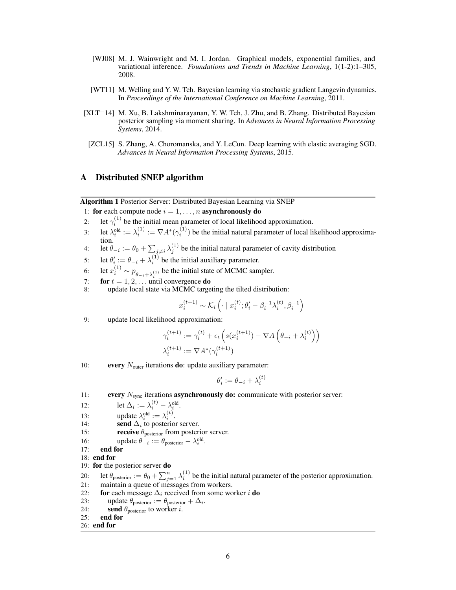- <span id="page-5-1"></span>[WJ08] M. J. Wainwright and M. I. Jordan. Graphical models, exponential families, and variational inference. *Foundations and Trends in Machine Learning*, 1(1-2):1–305, 2008.
- <span id="page-5-4"></span>[WT11] M. Welling and Y. W. Teh. Bayesian learning via stochastic gradient Langevin dynamics. In *Proceedings of the International Conference on Machine Learning*, 2011.
- <span id="page-5-0"></span>[XLT+14] M. Xu, B. Lakshminarayanan, Y. W. Teh, J. Zhu, and B. Zhang. Distributed Bayesian posterior sampling via moment sharing. In *Advances in Neural Information Processing Systems*, 2014.
- <span id="page-5-3"></span>[ZCL15] S. Zhang, A. Choromanska, and Y. LeCun. Deep learning with elastic averaging SGD. *Advances in Neural Information Processing Systems*, 2015.

# <span id="page-5-2"></span>A Distributed SNEP algorithm

### Algorithm 1 Posterior Server: Distributed Bayesian Learning via SNEP

1: for each compute node  $i = 1, \ldots, n$  asynchronously do

- 2: let  $\gamma_i^{(1)}$  be the initial mean parameter of local likelihood approximation.
- 3: let  $\lambda_i^{\text{old}} := \lambda_i^{(1)} := \nabla A^*(\gamma_i^{(1)})$  be the initial natural parameter of local likelihood approximation.
- 4: let  $\theta_{-i} := \theta_0 + \sum_{j \neq i} \lambda_j^{(1)}$  be the initial natural parameter of cavity distribution
- 5: Let  $\theta'_i := \theta_{-i} + \lambda_i^{(1)}$  be the initial auxiliary parameter.
- 6: let  $x_i^{(1)} \sim p_{\theta_{-i} + \lambda_i^{(1)}}$  be the initial state of MCMC sampler.
- 7: for  $t = 1, 2, \dots$  until convergence do
- 8: update local state via MCMC targeting the tilted distribution:

$$
x_i^{(t+1)} \sim \mathcal{K}_i\left(\cdot \mid x_i^{(t)}; \theta_i' - \beta_i^{-1}\lambda_i^{(t)}, \beta_i^{-1}\right)
$$

9: update local likelihood approximation:

$$
\gamma_i^{(t+1)} := \gamma_i^{(t)} + \epsilon_t \left( s(x_i^{(t+1)}) - \nabla A \left( \theta_{-i} + \lambda_i^{(t)} \right) \right)
$$

$$
\lambda_i^{(t+1)} := \nabla A^*(\gamma_i^{(t+1)})
$$

10: every  $N_{\text{outer}}$  iterations **do**: update auxiliary parameter:

$$
\theta'_i := \theta_{-i} + \lambda_i^{(t)}
$$

- 11: every  $N_{\text{sync}}$  iterations asynchronously do: communicate with posterior server:
- 12: let  $\Delta_i := \lambda_i^{(t)} \lambda_i^{\text{old}}$ .
- 13: update  $\lambda_i^{\text{old}} := \lambda_i^{(t)}$ .
- 14: **send**  $\Delta_i$  to posterior server.
- 15: **receive**  $\theta_{\text{posterior}}$  from posterior server.
- 16: update  $\theta_{-i} := \theta_{\text{posterior}} \lambda_i^{\text{old}}$ .
- 17: end for
- 18: end for
- 19: for the posterior server do

20: let  $\theta_{\text{posterior}} := \theta_0 + \sum_{j=1}^n \lambda_i^{(1)}$  be the initial natural parameter of the posterior approximation.

- 21: maintain a queue of messages from workers.
- 22: for each message  $\Delta_i$  received from some worker i do
- 23: update  $\theta_{\text{posterior}} := \theta_{\text{posterior}} + \Delta_i$ .
- 24: **send**  $\theta_{\text{posterior}}$  to worker *i*.
- 25: end for
- 26: end for